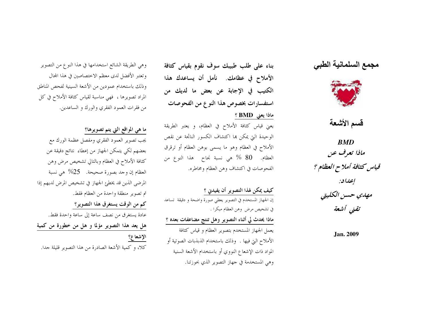## مجمع السلمانية الطبي



قسم الأشعة

**BMD** ماذا تعرف عن قياس كثافة أملاح العظام ؟ إعداد: مهدي حسن الكليتي تقنى أشعة

Jan. 2009

بناء على طلب طبيبك سوف نقوم بقياس كثافة الأملاح في عظامك. نأمل أن يساعدك هذا الكتيب في الإجابة عن بعض ما لديك من استفسارات بخصوص هذا النوع من الفحوصات ماذا يعني BMD ؟

يعني قياس كثافة الأملاح في العظام، و يعتبر الطريقة الوحيدة التي يمكن ها اكتشاف الكسور الناتحة عن نقص الأملاح في العظام وهو ما يسمى بوهن العظام أو ترقرق العظام. 80 % هي نسبة نجاح هذا النوع من الفحوصات في اكتشاف وهن العظام ومخاطره.

كيف يمكن لهذا التصوير أن يفيدني ؟ إن الجهاز المستخدم في التصوير يعطي صورة واضحة و دقيقة تساعد في تشخيص مرض وهن العظام مبكرا . ماذا يحدث لي أثناء التصوير وهل تنتج مضاعفات بعده ؟ يعمل الجهاز المستخدم بتصوير العظام و قياس كثافة الأملاح التي فيها . وذلك باستخدام الذبذبات الصوتية أو المواد ذات الإشعاع النووي أو باستخدام الأشعة السنية وهي المستخدمة في حهاز التصوير الذي بحوزتنا.

وهي الطريقة الشائع استخدامها في هذا النوع من التصوير وتعتبر الأفضل لدى معظم الاختصاصين في هذا المحال وذلك باستخدام عمودين من الأشعة السينية لفحص المناطق المراد تصويرها ، فهي مناسبة لقياس كثافة الأملاح في كل من فقرات العمود الفقري والورك و الساعدين.

ما هي المواقع التي يتم تصويرها؟ يجب تصوير العمود الفقري ومفصل عظمة الورك مع بعضهم لكي يتمكن الجهاز من إعطاء نتائج دقيقة عن كثافة الأملاح في العظام وبالتالي تشخيص مرض وهن العظام إن وجد بصورة صحيحة.  $25$ % هي نسبة المرضى الذين قد يخطئ الجهاز في تشخيص المرض لديهم إذا تم تصوير منطقة واحدة من العظام فقط. كم من الوقت يستغرق هذا التصوير؟ عادة يستغرق من نصف ساعة إلى ساعة واحدة فقط. هل يعد هذا التصوير مؤلما و هل من خطورة من كمية الإشعاع؟

كلا، و كمية الأشعة الصادرة من هذا التصوير قليلة جدا.